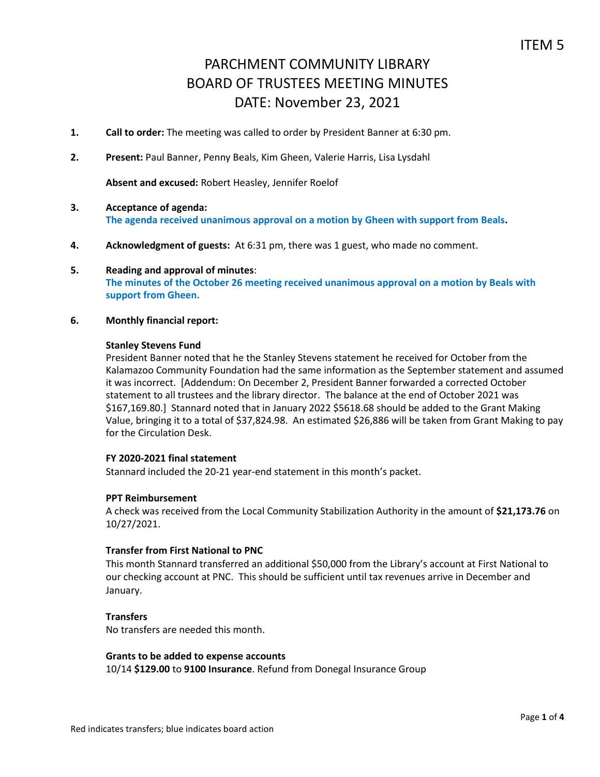- **1. Call to order:** The meeting was called to order by President Banner at 6:30 pm.
- **2. Present:** Paul Banner, Penny Beals, Kim Gheen, Valerie Harris, Lisa Lysdahl

**Absent and excused:** Robert Heasley, Jennifer Roelof

- **3. Acceptance of agenda: The agenda received unanimous approval on a motion by Gheen with support from Beals.**
- **4. Acknowledgment of guests:** At 6:31 pm, there was 1 guest, who made no comment.
- **5. Reading and approval of minutes**: **The minutes of the October 26 meeting received unanimous approval on a motion by Beals with support from Gheen.**
- **6. Monthly financial report:**

#### **Stanley Stevens Fund**

President Banner noted that he the Stanley Stevens statement he received for October from the Kalamazoo Community Foundation had the same information as the September statement and assumed it was incorrect. [Addendum: On December 2, President Banner forwarded a corrected October statement to all trustees and the library director. The balance at the end of October 2021 was \$167,169.80.] Stannard noted that in January 2022 \$5618.68 should be added to the Grant Making Value, bringing it to a total of \$37,824.98. An estimated \$26,886 will be taken from Grant Making to pay for the Circulation Desk.

## **FY 2020-2021 final statement**

Stannard included the 20-21 year-end statement in this month's packet.

### **PPT Reimbursement**

A check was received from the Local Community Stabilization Authority in the amount of **\$21,173.76** on 10/27/2021.

## **Transfer from First National to PNC**

This month Stannard transferred an additional \$50,000 from the Library's account at First National to our checking account at PNC. This should be sufficient until tax revenues arrive in December and January.

### **Transfers**

No transfers are needed this month.

#### **Grants to be added to expense accounts**

10/14 **\$129.00** to **9100 Insurance**. Refund from Donegal Insurance Group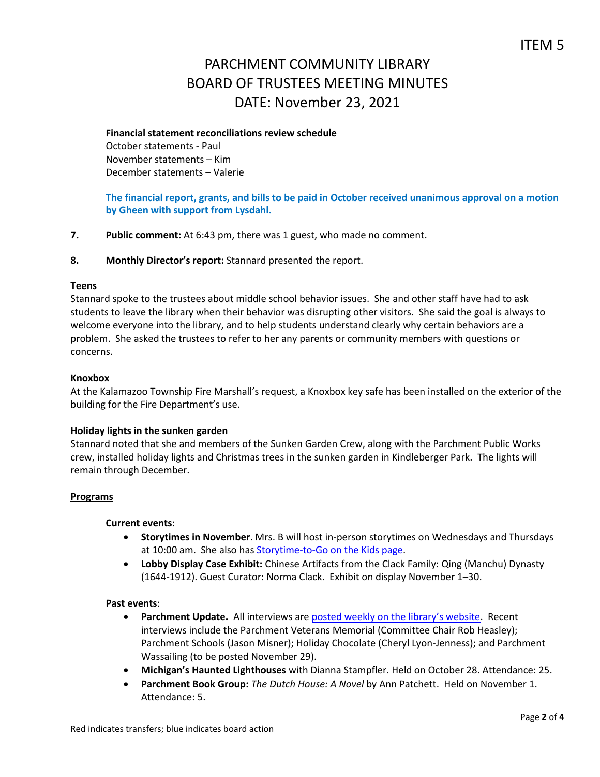## **Financial statement reconciliations review schedule**

October statements - Paul November statements – Kim December statements – Valerie

# **The financial report, grants, and bills to be paid in October received unanimous approval on a motion by Gheen with support from Lysdahl.**

**7. Public comment:** At 6:43 pm, there was 1 guest, who made no comment.

## **8. Monthly Director's report:** Stannard presented the report.

## **Teens**

Stannard spoke to the trustees about middle school behavior issues. She and other staff have had to ask students to leave the library when their behavior was disrupting other visitors. She said the goal is always to welcome everyone into the library, and to help students understand clearly why certain behaviors are a problem. She asked the trustees to refer to her any parents or community members with questions or concerns.

## **Knoxbox**

At the Kalamazoo Township Fire Marshall's request, a Knoxbox key safe has been installed on the exterior of the building for the Fire Department's use.

## **Holiday lights in the sunken garden**

Stannard noted that she and members of the Sunken Garden Crew, along with the Parchment Public Works crew, installed holiday lights and Christmas trees in the sunken garden in Kindleberger Park. The lights will remain through December.

## **Programs**

### **Current events**:

- **Storytimes in November**. Mrs. B will host in-person storytimes on Wednesdays and Thursdays at 10:00 am. She also has [Storytime-to-Go on the Kids page.](https://www.parchmentlibrary.org/storytimes-programs)
- **Lobby Display Case Exhibit:** Chinese Artifacts from the Clack Family: Qing (Manchu) Dynasty (1644-1912). Guest Curator: Norma Clack. Exhibit on display November 1–30.

### **Past events**:

- **Parchment Update.** All interviews are [posted weekly on the library's website](https://www.parchmentlibrary.org/parchment-update). Recent interviews include the Parchment Veterans Memorial (Committee Chair Rob Heasley); Parchment Schools (Jason Misner); Holiday Chocolate (Cheryl Lyon-Jenness); and Parchment Wassailing (to be posted November 29).
- **Michigan's Haunted Lighthouses** with Dianna Stampfler. Held on October 28. Attendance: 25.
- **Parchment Book Group:** *The Dutch House: A Novel* by Ann Patchett. Held on November 1. Attendance: 5.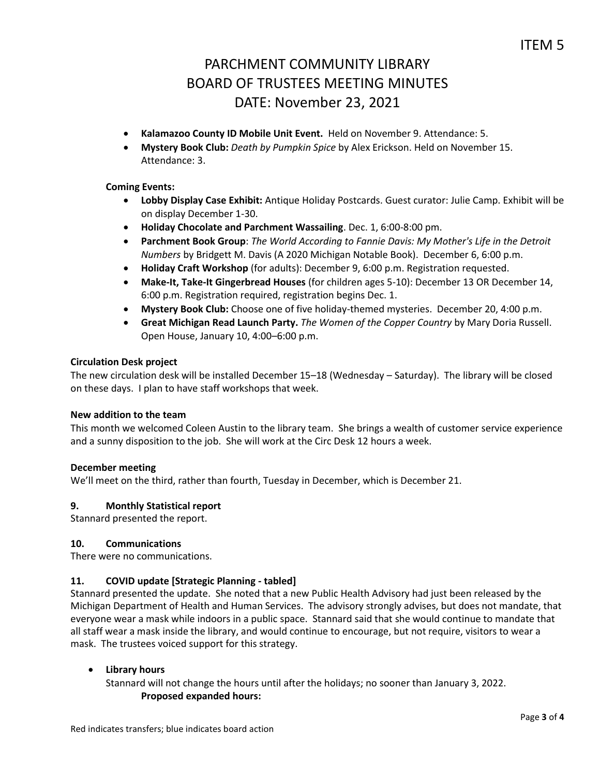- **Kalamazoo County ID Mobile Unit Event.** Held on November 9. Attendance: 5.
- **Mystery Book Club:** *Death by Pumpkin Spice* by Alex Erickson. Held on November 15. Attendance: 3.

## **Coming Events:**

- **Lobby Display Case Exhibit:** Antique Holiday Postcards. Guest curator: Julie Camp. Exhibit will be on display December 1-30.
- **Holiday Chocolate and Parchment Wassailing**. Dec. 1, 6:00-8:00 pm.
- **Parchment Book Group**: *The World According to Fannie Davis: My Mother's Life in the Detroit Numbers* by Bridgett M. Davis (A 2020 Michigan Notable Book). December 6, 6:00 p.m.
- **Holiday Craft Workshop** (for adults): December 9, 6:00 p.m. Registration requested.
- **Make-It, Take-It Gingerbread Houses** (for children ages 5-10): December 13 OR December 14, 6:00 p.m. Registration required, registration begins Dec. 1.
- **Mystery Book Club:** Choose one of five holiday-themed mysteries. December 20, 4:00 p.m.
- **Great Michigan Read Launch Party.** *The Women of the Copper Country* by Mary Doria Russell. Open House, January 10, 4:00–6:00 p.m.

## **Circulation Desk project**

The new circulation desk will be installed December 15–18 (Wednesday – Saturday). The library will be closed on these days. I plan to have staff workshops that week.

### **New addition to the team**

This month we welcomed Coleen Austin to the library team. She brings a wealth of customer service experience and a sunny disposition to the job. She will work at the Circ Desk 12 hours a week.

### **December meeting**

We'll meet on the third, rather than fourth, Tuesday in December, which is December 21.

### **9. Monthly Statistical report**

Stannard presented the report.

## **10. Communications**

There were no communications.

## **11. COVID update [Strategic Planning - tabled]**

Stannard presented the update. She noted that a new Public Health Advisory had just been released by the Michigan Department of Health and Human Services. The advisory strongly advises, but does not mandate, that everyone wear a mask while indoors in a public space. Stannard said that she would continue to mandate that all staff wear a mask inside the library, and would continue to encourage, but not require, visitors to wear a mask. The trustees voiced support for this strategy.

### **Library hours**

Stannard will not change the hours until after the holidays; no sooner than January 3, 2022. **Proposed expanded hours:**